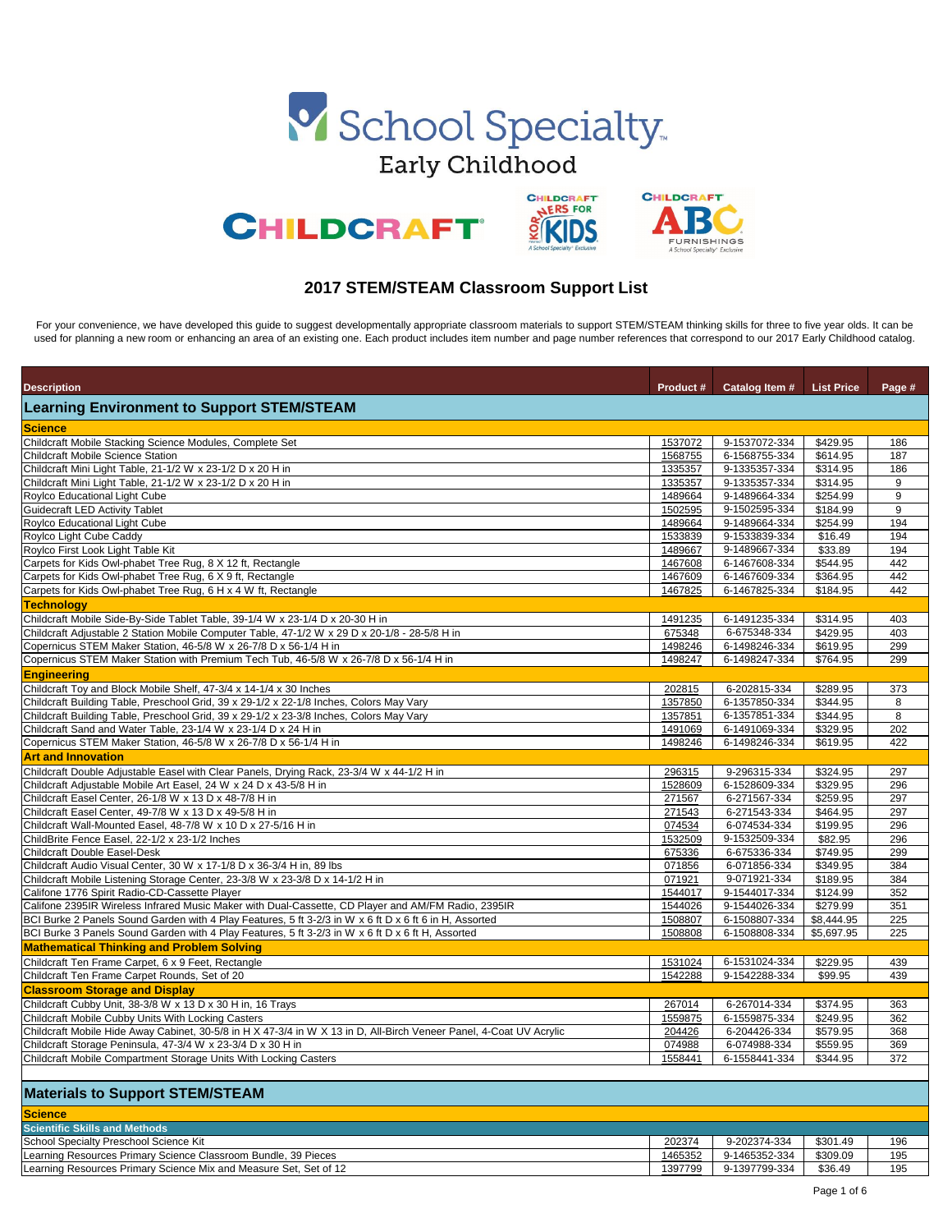| <b>Description</b>                                                                                                  | <b>Product #</b> | Catalog Item # | <b>List Price</b> | Page # |
|---------------------------------------------------------------------------------------------------------------------|------------------|----------------|-------------------|--------|
| <b>Learning Environment to Support STEM/STEAM</b>                                                                   |                  |                |                   |        |
| <b>Science</b>                                                                                                      |                  |                |                   |        |
| Childcraft Mobile Stacking Science Modules, Complete Set                                                            | 1537072          | 9-1537072-334  | \$429.95          | 186    |
| <b>Childcraft Mobile Science Station</b>                                                                            | 1568755          | 6-1568755-334  | \$614.95          | 187    |
| Childcraft Mini Light Table, 21-1/2 W x 23-1/2 D x 20 H in                                                          | 1335357          | 9-1335357-334  | \$314.95          | 186    |
| Childcraft Mini Light Table, 21-1/2 W x 23-1/2 D x 20 H in                                                          | 1335357          | 9-1335357-334  | \$314.95          | 9      |
| Roylco Educational Light Cube                                                                                       | 1489664          | 9-1489664-334  | \$254.99          | $9\,$  |
| Guidecraft LED Activity Tablet                                                                                      | 1502595          | 9-1502595-334  | \$184.99          | 9      |
| Roylco Educational Light Cube                                                                                       | 1489664          | 9-1489664-334  | \$254.99          | 194    |
| Roylco Light Cube Caddy                                                                                             | 1533839          | 9-1533839-334  | \$16.49           | 194    |
| Roylco First Look Light Table Kit                                                                                   | 1489667          | 9-1489667-334  | 33.89             | 194    |
| Carpets for Kids Owl-phabet Tree Rug, 8 X 12 ft, Rectangle                                                          | 1467608          | 6-1467608-334  | \$544.95          | 442    |
| Carpets for Kids Owl-phabet Tree Rug, 6 X 9 ft, Rectangle                                                           | 1467609          | 6-1467609-334  | \$364.95          | 442    |
| Carpets for Kids Owl-phabet Tree Rug, 6 H x 4 W ft, Rectangle                                                       | 1467825          | 6-1467825-334  | \$184.95          | 442    |
| <b>Technology</b>                                                                                                   |                  |                |                   |        |
|                                                                                                                     |                  | 6-1491235-334  | \$314.95          |        |
| Childcraft Mobile Side-By-Side Tablet Table, 39-1/4 W x 23-1/4 D x 20-30 H in                                       | 1491235          |                |                   | 403    |
| Childcraft Adjustable 2 Station Mobile Computer Table, 47-1/2 W x 29 D x 20-1/8 - 28-5/8 H in                       | 675348           | 6-675348-334   | \$429.95          | 403    |
| Copernicus STEM Maker Station, 46-5/8 W x 26-7/8 D x 56-1/4 H in                                                    | 1498246          | 6-1498246-334  | \$619.95          | 299    |
| Copernicus STEM Maker Station with Premium Tech Tub, 46-5/8 W x 26-7/8 D x 56-1/4 H in                              | 1498247          | 6-1498247-334  | \$764.95          | 299    |
| Engineering                                                                                                         |                  |                |                   |        |
| Childcraft Toy and Block Mobile Shelf, 47-3/4 x 14-1/4 x 30 Inches                                                  | 202815           | 6-202815-334   | \$289.95          | 373    |
| Childcraft Building Table, Preschool Grid, 39 x 29-1/2 x 22-1/8 Inches, Colors May Vary                             | 1357850          | 6-1357850-334  | \$344.95          | 8      |
| Childcraft Building Table, Preschool Grid, 39 x 29-1/2 x 23-3/8 Inches, Colors May Vary                             | 1357851          | 6-1357851-334  | \$344.95          | 8      |
| Childcraft Sand and Water Table, 23-1/4 W x 23-1/4 D x 24 H in                                                      | 1491069          | 6-1491069-334  | \$329.95          | 202    |
| Copernicus STEM Maker Station, 46-5/8 W x 26-7/8 D x 56-1/4 H in                                                    | 1498246          | 6-1498246-334  | \$619.95          | 422    |
| <b>Art and Innovation</b>                                                                                           |                  |                |                   |        |
| Childcraft Double Adjustable Easel with Clear Panels, Drying Rack, 23-3/4 W x 44-1/2 H in                           | 296315           | 9-296315-334   | \$324.95          | 297    |
| Childcraft Adjustable Mobile Art Easel, 24 W x 24 D x 43-5/8 H in                                                   | 1528609          | 6-1528609-334  | \$329.95          | 296    |
| Childcraft Easel Center, 26-1/8 W x 13 D x 48-7/8 H in                                                              | 271567           | 6-271567-334   | \$259.95          | 297    |
| Childcraft Easel Center, 49-7/8 W x 13 D x 49-5/8 H in                                                              | 271543           | 6-271543-334   | \$464.95          | 297    |
| Childcraft Wall-Mounted Easel, 48-7/8 W x 10 D x 27-5/16 H in                                                       | 074534           | 6-074534-334   | \$199.95          | 296    |
| ChildBrite Fence Easel, 22-1/2 x 23-1/2 Inches                                                                      | 1532509          | 9-1532509-334  | \$82.95           | 296    |
| Childcraft Double Easel-Desk                                                                                        | 675336           | 6-675336-334   | \$749.95          | 299    |
| Childcraft Audio Visual Center, 30 W x 17-1/8 D x 36-3/4 H in, 89 lbs                                               | 071856           | 6-071856-334   | \$349.95          | 384    |
| Childcraft Mobile Listening Storage Center, 23-3/8 W x 23-3/8 D x 14-1/2 H in                                       | 071921           | 9-071921-334   | \$189.95          | 384    |
| Califone 1776 Spirit Radio-CD-Cassette Player                                                                       | 1544017          | 9-1544017-334  | \$124.99          | 352    |
| Califone 2395IR Wireless Infrared Music Maker with Dual-Cassette, CD Player and AM/FM Radio, 2395IR                 | 1544026          | 9-1544026-334  | \$279.99          | 351    |
| BCI Burke 2 Panels Sound Garden with 4 Play Features, 5 ft 3-2/3 in W x 6 ft D x 6 ft 6 in H, Assorted              | 1508807          | 6-1508807-334  | \$8,444.95        | 225    |
| BCI Burke 3 Panels Sound Garden with 4 Play Features, 5 ft 3-2/3 in W x 6 ft D x 6 ft H, Assorted                   | 1508808          | 6-1508808-334  | \$5,697.95        | 225    |
| <b>Mathematical Thinking and Problem Solving</b>                                                                    |                  |                |                   |        |
| Childcraft Ten Frame Carpet, 6 x 9 Feet, Rectangle                                                                  | 1531024          | 6-1531024-334  | \$229.95          | 439    |
| Childcraft Ten Frame Carpet Rounds, Set of 20                                                                       | 1542288          | 9-1542288-334  | \$99.95           | 439    |
| <b>Classroom Storage and Display</b>                                                                                |                  |                |                   |        |
| Childcraft Cubby Unit, 38-3/8 W x 13 D x 30 H in, 16 Trays                                                          |                  |                |                   |        |
|                                                                                                                     | 267014           | 6-267014-334   | \$374.95          | 363    |
| Childcraft Mobile Cubby Units With Locking Casters                                                                  | 1559875          | 6-1559875-334  | \$249.95          | 362    |
| Childcraft Mobile Hide Away Cabinet, 30-5/8 in H X 47-3/4 in W X 13 in D, All-Birch Veneer Panel, 4-Coat UV Acrylic | 204426           | 6-204426-334   | \$579.95          | 368    |
| Childcraft Storage Peninsula, 47-3/4 W x 23-3/4 D x 30 H in                                                         | 074988           | 6-074988-334   | \$559.95          | 369    |
| Childcraft Mobile Compartment Storage Units With Locking Casters                                                    | 1558441          | 6-1558441-334  | \$344.95          | 372    |
| <b>Materials to Support STEM/STEAM</b>                                                                              |                  |                |                   |        |
| <b>Science</b>                                                                                                      |                  |                |                   |        |
| <b>Scientific Skills and Methods</b>                                                                                |                  |                |                   |        |
| School Specialty Preschool Science Kit                                                                              | 202374           | 9-202374-334   | \$301.49          | 196    |
| Learning Resources Primary Science Classroom Bundle, 39 Pieces                                                      | 1465352          | 9-1465352-334  | \$309.09          | 195    |
| Learning Resources Primary Science Mix and Measure Set, Set of 12                                                   | 1397799          | 9-1397799-334  | \$36.49           | 195    |
|                                                                                                                     |                  |                |                   |        |

For your convenience, we have developed this guide to suggest developmentally appropriate classroom materials to support STEM/STEAM thinking skills for three to five year olds. It can be used for planning a new room or enhancing an area of an existing one. Each product includes item number and page number references that correspond to our 2017 Early Childhood catalog.





## **2017 STEM/STEAM Classroom Support List**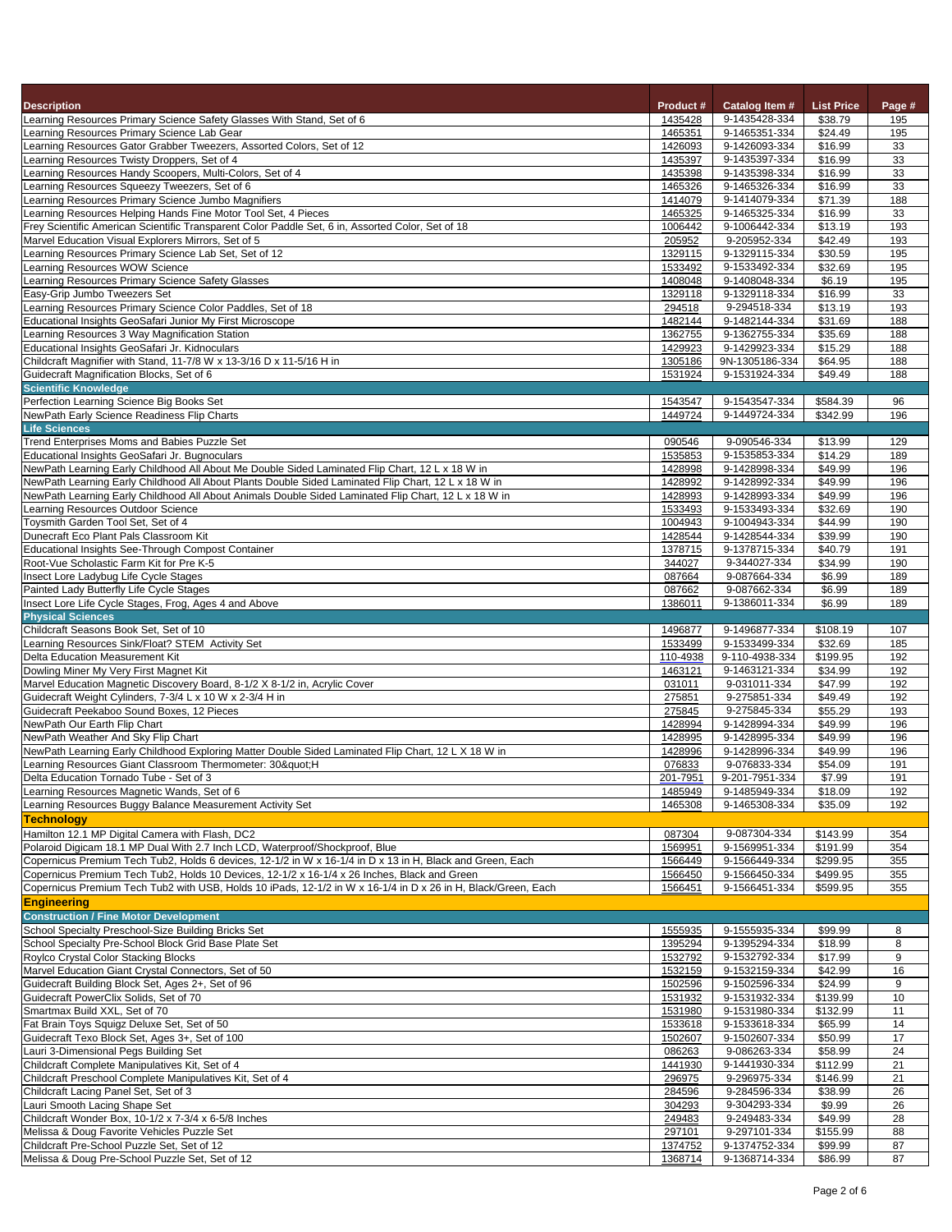| <b>Description</b>                                                                                                                                                                                     | <b>Product #</b>   | <b>Catalog Item #</b>           | <b>List Price</b>   | Page #     |
|--------------------------------------------------------------------------------------------------------------------------------------------------------------------------------------------------------|--------------------|---------------------------------|---------------------|------------|
| Learning Resources Primary Science Safety Glasses With Stand, Set of 6                                                                                                                                 | 1435428            | 9-1435428-334                   | \$38.79             | 195        |
| Learning Resources Primary Science Lab Gear<br>Learning Resources Gator Grabber Tweezers, Assorted Colors, Set of 12                                                                                   | 1465351<br>1426093 | 9-1465351-334<br>9-1426093-334  | \$24.49<br>\$16.99  | 195<br>33  |
| Learning Resources Twisty Droppers, Set of 4                                                                                                                                                           | 1435397            | 9-1435397-334                   | \$16.99             | 33         |
| Learning Resources Handy Scoopers, Multi-Colors, Set of 4                                                                                                                                              | 1435398            | 9-1435398-334                   | \$16.99             | 33         |
| Learning Resources Squeezy Tweezers, Set of 6                                                                                                                                                          | 1465326            | 9-1465326-334                   | \$16.99             | 33         |
| Learning Resources Primary Science Jumbo Magnifiers                                                                                                                                                    | 1414079            | 9-1414079-334                   | \$71.39             | 188        |
| Learning Resources Helping Hands Fine Motor Tool Set, 4 Pieces                                                                                                                                         | 1465325            | 9-1465325-334                   | \$16.99             | 33         |
| Frey Scientific American Scientific Transparent Color Paddle Set, 6 in, Assorted Color, Set of 18                                                                                                      | 1006442            | 9-1006442-334                   | \$13.19             | 193        |
| Marvel Education Visual Explorers Mirrors, Set of 5<br>Learning Resources Primary Science Lab Set, Set of 12                                                                                           | 205952<br>1329115  | 9-205952-334<br>9-1329115-334   | \$42.49<br>\$30.59  | 193<br>195 |
| Learning Resources WOW Science                                                                                                                                                                         | 1533492            | 9-1533492-334                   | \$32.69             | 195        |
| Learning Resources Primary Science Safety Glasses                                                                                                                                                      | 1408048            | 9-1408048-334                   | \$6.19              | 195        |
| Easy-Grip Jumbo Tweezers Set                                                                                                                                                                           | 1329118            | 9-1329118-334                   | \$16.99             | 33         |
| Learning Resources Primary Science Color Paddles, Set of 18                                                                                                                                            | 294518             | 9-294518-334                    | \$13.19             | 193        |
| Educational Insights GeoSafari Junior My First Microscope                                                                                                                                              | 1482144            | 9-1482144-334                   | \$31.69             | 188        |
| Learning Resources 3 Way Magnification Station                                                                                                                                                         | 1362755            | 9-1362755-334                   | \$35.69             | 188        |
| Educational Insights GeoSafari Jr. Kidnoculars<br>Childcraft Magnifier with Stand, 11-7/8 W x 13-3/16 D x 11-5/16 H in                                                                                 | 1429923<br>1305186 | 9-1429923-334<br>9N-1305186-334 | \$15.29<br>\$64.95  | 188<br>188 |
| Guidecraft Magnification Blocks, Set of 6                                                                                                                                                              | 1531924            | 9-1531924-334                   | \$49.49             | 188        |
| <b>Scientific Knowledge</b>                                                                                                                                                                            |                    |                                 |                     |            |
| Perfection Learning Science Big Books Set                                                                                                                                                              | 1543547            | 9-1543547-334                   | \$584.39            | 96         |
| NewPath Early Science Readiness Flip Charts                                                                                                                                                            | 1449724            | 9-1449724-334                   | \$342.99            | 196        |
| <b>Life Sciences</b>                                                                                                                                                                                   |                    |                                 |                     |            |
| Trend Enterprises Moms and Babies Puzzle Set                                                                                                                                                           | 090546             | 9-090546-334                    | \$13.99             | 129        |
| Educational Insights GeoSafari Jr. Bugnoculars                                                                                                                                                         | 1535853            | 9-1535853-334                   | \$14.29             | 189        |
| NewPath Learning Early Childhood All About Me Double Sided Laminated Flip Chart, 12 L x 18 W in<br>NewPath Learning Early Childhood All About Plants Double Sided Laminated Flip Chart, 12 L x 18 W in | 1428998<br>1428992 | 9-1428998-334<br>9-1428992-334  | \$49.99<br>\$49.99  | 196<br>196 |
| NewPath Learning Early Childhood All About Animals Double Sided Laminated Flip Chart, 12 L x 18 W in                                                                                                   | 1428993            | 9-1428993-334                   | \$49.99             | 196        |
| Learning Resources Outdoor Science                                                                                                                                                                     | 1533493            | 9-1533493-334                   | \$32.69             | 190        |
| Toysmith Garden Tool Set, Set of 4                                                                                                                                                                     | 1004943            | 9-1004943-334                   | \$44.99             | 190        |
| Dunecraft Eco Plant Pals Classroom Kit                                                                                                                                                                 | 1428544            | 9-1428544-334                   | \$39.99             | 190        |
| Educational Insights See-Through Compost Container                                                                                                                                                     | 1378715            | 9-1378715-334                   | \$40.79             | 191        |
| Root-Vue Scholastic Farm Kit for Pre K-5                                                                                                                                                               | 344027             | 9-344027-334                    | \$34.99             | 190        |
| Insect Lore Ladybug Life Cycle Stages<br>Painted Lady Butterfly Life Cycle Stages                                                                                                                      | 087664<br>087662   | 9-087664-334<br>9-087662-334    | \$6.99<br>\$6.99    | 189<br>189 |
| Insect Lore Life Cycle Stages, Frog, Ages 4 and Above                                                                                                                                                  | 1386011            | 9-1386011-334                   | \$6.99              | 189        |
| <b>Physical Sciences</b>                                                                                                                                                                               |                    |                                 |                     |            |
| Childcraft Seasons Book Set, Set of 10                                                                                                                                                                 | 1496877            | 9-1496877-334                   | \$108.19            | 107        |
| Learning Resources Sink/Float? STEM Activity Set                                                                                                                                                       | 1533499            | 9-1533499-334                   | \$32.69             | 185        |
| Delta Education Measurement Kit                                                                                                                                                                        | 110-4938           | 9-110-4938-334                  | \$199.95            | 192        |
| Dowling Miner My Very First Magnet Kit                                                                                                                                                                 | 1463121            | 9-1463121-334                   | \$34.99             | 192        |
| Marvel Education Magnetic Discovery Board, 8-1/2 X 8-1/2 in, Acrylic Cover                                                                                                                             | 031011             | 9-031011-334                    | \$47.99             | 192        |
| Guidecraft Weight Cylinders, 7-3/4 L x 10 W x 2-3/4 H in<br>Guidecraft Peekaboo Sound Boxes, 12 Pieces                                                                                                 | 275851<br>275845   | 9-275851-334<br>9-275845-334    | \$49.49<br>\$55.29  | 192<br>193 |
| NewPath Our Earth Flip Chart                                                                                                                                                                           | 1428994            | 9-1428994-334                   | \$49.99             | 196        |
| NewPath Weather And Sky Flip Chart                                                                                                                                                                     | 1428995            | 9-1428995-334                   | \$49.99             | 196        |
| NewPath Learning Early Childhood Exploring Matter Double Sided Laminated Flip Chart, 12 L X 18 W in                                                                                                    | 1428996            | 9-1428996-334                   | \$49.99             | 196        |
| Learning Resources Giant Classroom Thermometer: 30":H                                                                                                                                                  | 076833             | 9-076833-334                    | \$54.09             | 191        |
| Delta Education Tornado Tube - Set of 3                                                                                                                                                                | 201-7951           | 9-201-7951-334                  | \$7.99              | 191        |
| Learning Resources Magnetic Wands, Set of 6<br>Learning Resources Buggy Balance Measurement Activity Set                                                                                               | 1485949<br>1465308 | 9-1485949-334<br>9-1465308-334  | \$18.09<br>\$35.09  | 192<br>192 |
| <b>Technology</b>                                                                                                                                                                                      |                    |                                 |                     |            |
| Hamilton 12.1 MP Digital Camera with Flash, DC2                                                                                                                                                        | 087304             | 9-087304-334                    | \$143.99            | 354        |
| Polaroid Digicam 18.1 MP Dual With 2.7 Inch LCD, Waterproof/Shockproof, Blue                                                                                                                           | 1569951            | 9-1569951-334                   | \$191.99            | 354        |
| Copernicus Premium Tech Tub2, Holds 6 devices, 12-1/2 in W x 16-1/4 in D x 13 in H, Black and Green, Each                                                                                              | 1566449            | 9-1566449-334                   | \$299.95            | 355        |
| Copernicus Premium Tech Tub2, Holds 10 Devices, 12-1/2 x 16-1/4 x 26 Inches, Black and Green                                                                                                           | 1566450            | 9-1566450-334                   | \$499.95            | 355        |
| Copernicus Premium Tech Tub2 with USB, Holds 10 iPads, 12-1/2 in W x 16-1/4 in D x 26 in H, Black/Green, Each                                                                                          | 1566451            | 9-1566451-334                   | \$599.95            | 355        |
| <b>Engineering</b>                                                                                                                                                                                     |                    |                                 |                     |            |
| <b>Construction / Fine Motor Development</b>                                                                                                                                                           |                    |                                 |                     |            |
| School Specialty Preschool-Size Building Bricks Set                                                                                                                                                    | 1555935<br>1395294 | 9-1555935-334<br>9-1395294-334  | \$99.99             | 8          |
| School Specialty Pre-School Block Grid Base Plate Set<br>Roylco Crystal Color Stacking Blocks                                                                                                          | 1532792            | 9-1532792-334                   | \$18.99<br>\$17.99  | 8<br>9     |
| Marvel Education Giant Crystal Connectors, Set of 50                                                                                                                                                   | 1532159            | 9-1532159-334                   | \$42.99             | 16         |
| Guidecraft Building Block Set, Ages 2+, Set of 96                                                                                                                                                      | 1502596            | 9-1502596-334                   | \$24.99             | 9          |
| Guidecraft PowerClix Solids, Set of 70                                                                                                                                                                 | 1531932            | 9-1531932-334                   | \$139.99            | 10         |
| Smartmax Build XXL, Set of 70                                                                                                                                                                          | 1531980            | 9-1531980-334                   | \$132.99            | 11         |
| Fat Brain Toys Squigz Deluxe Set, Set of 50                                                                                                                                                            | 1533618            | 9-1533618-334                   | \$65.99             | 14         |
| Guidecraft Texo Block Set, Ages 3+, Set of 100                                                                                                                                                         | 1502607            | 9-1502607-334                   | \$50.99             | 17         |
| Lauri 3-Dimensional Pegs Building Set<br>Childcraft Complete Manipulatives Kit, Set of 4                                                                                                               | 086263<br>1441930  | 9-086263-334<br>9-1441930-334   | \$58.99<br>\$112.99 | 24<br>21   |
| Childcraft Preschool Complete Manipulatives Kit, Set of 4                                                                                                                                              | 296975             | 9-296975-334                    | \$146.99            | 21         |
| Childcraft Lacing Panel Set, Set of 3                                                                                                                                                                  | 284596             | 9-284596-334                    | \$38.99             | 26         |
| Lauri Smooth Lacing Shape Set                                                                                                                                                                          | 304293             | 9-304293-334                    | \$9.99              | 26         |
| Childcraft Wonder Box, 10-1/2 x 7-3/4 x 6-5/8 Inches                                                                                                                                                   | 249483             | 9-249483-334                    | \$49.99             | 28         |
| Melissa & Doug Favorite Vehicles Puzzle Set                                                                                                                                                            | 297101             | 9-297101-334                    | \$155.99            | 88         |
| Childcraft Pre-School Puzzle Set, Set of 12                                                                                                                                                            | 1374752            | 9-1374752-334                   | \$99.99             | 87         |
| Melissa & Doug Pre-School Puzzle Set, Set of 12                                                                                                                                                        | 1368714            | 9-1368714-334                   | \$86.99             | 87         |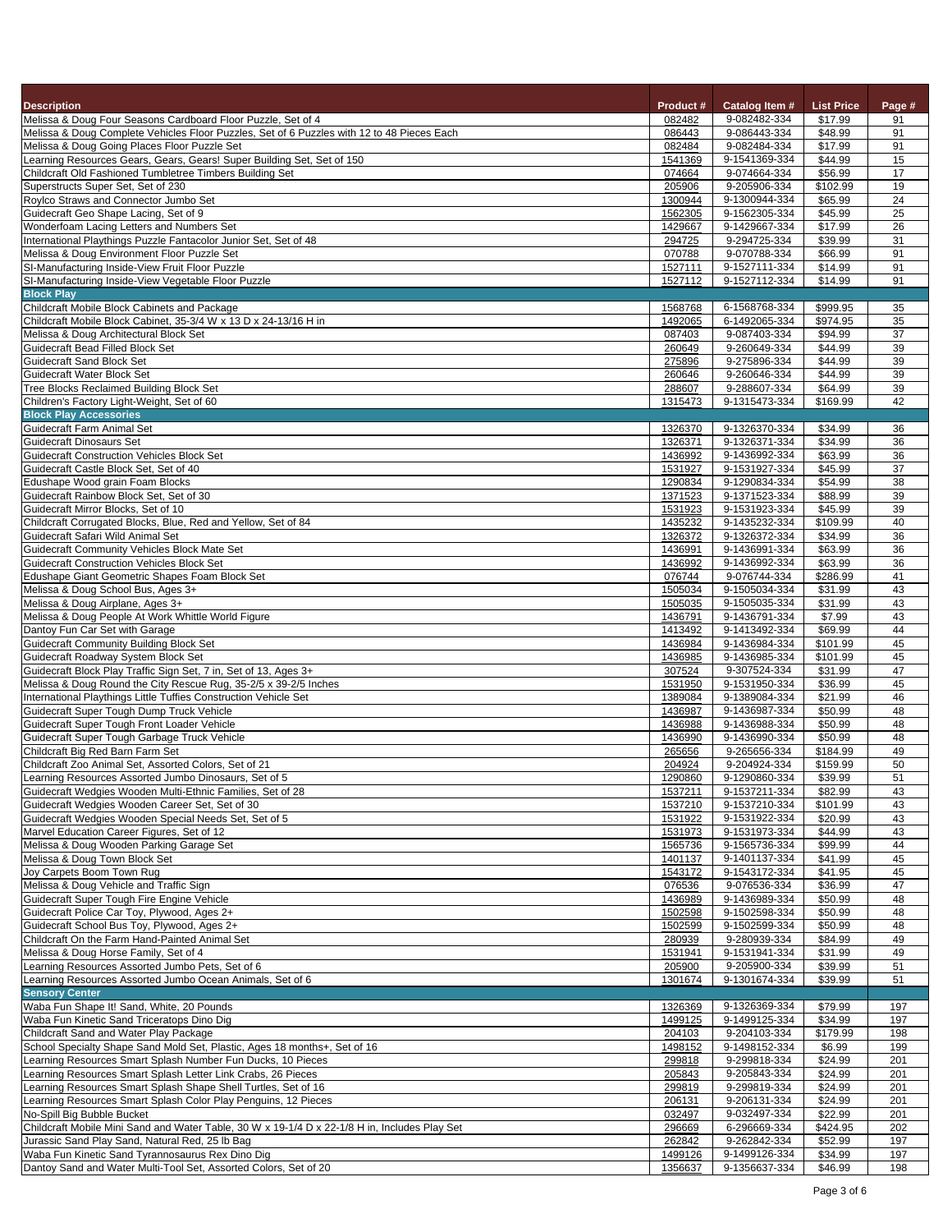| <b>Description</b>                                                                                                                                         | <b>Product #</b>   | <b>Catalog Item #</b>          | <b>List Price</b>   | Page #     |
|------------------------------------------------------------------------------------------------------------------------------------------------------------|--------------------|--------------------------------|---------------------|------------|
| Melissa & Doug Four Seasons Cardboard Floor Puzzle, Set of 4<br>Melissa & Doug Complete Vehicles Floor Puzzles, Set of 6 Puzzles with 12 to 48 Pieces Each | 082482<br>086443   | 9-082482-334<br>9-086443-334   | \$17.99<br>\$48.99  | 91<br>91   |
| Melissa & Doug Going Places Floor Puzzle Set                                                                                                               | 082484             | 9-082484-334                   | \$17.99             | 91         |
| Learning Resources Gears, Gears, Gears! Super Building Set, Set of 150                                                                                     | 1541369            | 9-1541369-334                  | \$44.99             | 15         |
| Childcraft Old Fashioned Tumbletree Timbers Building Set                                                                                                   | 074664             | 9-074664-334                   | \$56.99             | 17         |
| Superstructs Super Set, Set of 230<br>Roylco Straws and Connector Jumbo Set                                                                                | 205906<br>1300944  | 9-205906-334<br>9-1300944-334  | \$102.99<br>\$65.99 | 19<br>24   |
| Guidecraft Geo Shape Lacing, Set of 9                                                                                                                      | 1562305            | 9-1562305-334                  | \$45.99             | 25         |
| Wonderfoam Lacing Letters and Numbers Set                                                                                                                  | 1429667            | 9-1429667-334                  | \$17.99             | 26         |
| International Playthings Puzzle Fantacolor Junior Set, Set of 48                                                                                           | 294725             | 9-294725-334                   | \$39.99             | 31         |
| Melissa & Doug Environment Floor Puzzle Set                                                                                                                | 070788             | 9-070788-334                   | \$66.99             | 91         |
| SI-Manufacturing Inside-View Fruit Floor Puzzle<br>SI-Manufacturing Inside-View Vegetable Floor Puzzle                                                     | 1527111<br>1527112 | 9-1527111-334<br>9-1527112-334 | \$14.99<br>\$14.99  | 91<br>91   |
| <b>Block Play</b>                                                                                                                                          |                    |                                |                     |            |
| Childcraft Mobile Block Cabinets and Package                                                                                                               | 1568768            | 6-1568768-334                  | \$999.95            | 35         |
| Childcraft Mobile Block Cabinet, 35-3/4 W x 13 D x 24-13/16 H in                                                                                           | 1492065            | 6-1492065-334                  | \$974.95            | 35         |
| Melissa & Doug Architectural Block Set<br><b>Guidecraft Bead Filled Block Set</b>                                                                          | 087403<br>260649   | 9-087403-334<br>9-260649-334   | \$94.99<br>\$44.99  | 37<br>39   |
| <b>Guidecraft Sand Block Set</b>                                                                                                                           | 275896             | 9-275896-334                   | \$44.99             | 39         |
| <b>Guidecraft Water Block Set</b>                                                                                                                          | 260646             | 9-260646-334                   | \$44.99             | 39         |
| Tree Blocks Reclaimed Building Block Set                                                                                                                   | 288607             | 9-288607-334                   | \$64.99             | 39         |
| Children's Factory Light-Weight, Set of 60<br><b>Block Play Accessories</b>                                                                                | 1315473            | 9-1315473-334                  | \$169.99            | 42         |
| Guidecraft Farm Animal Set                                                                                                                                 | 1326370            | 9-1326370-334                  | \$34.99             | 36         |
| <b>Guidecraft Dinosaurs Set</b>                                                                                                                            | 1326371            | 9-1326371-334                  | \$34.99             | 36         |
| <b>Guidecraft Construction Vehicles Block Set</b>                                                                                                          | 1436992            | 9-1436992-334                  | \$63.99             | 36         |
| Guidecraft Castle Block Set, Set of 40                                                                                                                     | 1531927            | 9-1531927-334                  | \$45.99             | 37         |
| Edushape Wood grain Foam Blocks<br>Guidecraft Rainbow Block Set, Set of 30                                                                                 | 1290834<br>1371523 | 9-1290834-334<br>9-1371523-334 | \$54.99<br>\$88.99  | 38<br>39   |
| Guidecraft Mirror Blocks, Set of 10                                                                                                                        | 1531923            | 9-1531923-334                  | \$45.99             | 39         |
| Childcraft Corrugated Blocks, Blue, Red and Yellow, Set of 84                                                                                              | 1435232            | 9-1435232-334                  | \$109.99            | 40         |
| Guidecraft Safari Wild Animal Set                                                                                                                          | 1326372            | 9-1326372-334                  | \$34.99             | 36         |
| <b>Guidecraft Community Vehicles Block Mate Set</b>                                                                                                        | 1436991            | 9-1436991-334                  | \$63.99             | 36         |
| <b>Guidecraft Construction Vehicles Block Set</b><br>Edushape Giant Geometric Shapes Foam Block Set                                                        | 1436992<br>076744  | 9-1436992-334<br>9-076744-334  | \$63.99<br>\$286.99 | 36<br>41   |
| Melissa & Doug School Bus, Ages 3+                                                                                                                         | 1505034            | 9-1505034-334                  | \$31.99             | 43         |
| Melissa & Doug Airplane, Ages 3+                                                                                                                           | 1505035            | 9-1505035-334                  | \$31.99             | 43         |
| Melissa & Doug People At Work Whittle World Figure                                                                                                         | 1436791            | 9-1436791-334                  | \$7.99              | 43         |
| Dantoy Fun Car Set with Garage<br><b>Guidecraft Community Building Block Set</b>                                                                           | 1413492            | 9-1413492-334                  | \$69.99<br>\$101.99 | 44<br>45   |
| Guidecraft Roadway System Block Set                                                                                                                        | 1436984<br>1436985 | 9-1436984-334<br>9-1436985-334 | \$101.99            | 45         |
| Guidecraft Block Play Traffic Sign Set, 7 in, Set of 13, Ages 3+                                                                                           | 307524             | 9-307524-334                   | \$31.99             | 47         |
| Melissa & Doug Round the City Rescue Rug, 35-2/5 x 39-2/5 Inches                                                                                           | 1531950            | 9-1531950-334                  | \$36.99             | 45         |
| International Playthings Little Tuffies Construction Vehicle Set                                                                                           | 1389084            | 9-1389084-334                  | \$21.99             | 46         |
| Guidecraft Super Tough Dump Truck Vehicle<br>Guidecraft Super Tough Front Loader Vehicle                                                                   | 1436987<br>1436988 | 9-1436987-334<br>9-1436988-334 | \$50.99<br>\$50.99  | 48<br>48   |
| Guidecraft Super Tough Garbage Truck Vehicle                                                                                                               | 1436990            | 9-1436990-334                  | \$50.99             | 48         |
| Childcraft Big Red Barn Farm Set                                                                                                                           | 265656             | 9-265656-334                   | \$184.99            | 49         |
| Childcraft Zoo Animal Set, Assorted Colors, Set of 21                                                                                                      | 204924             | 9-204924-334                   | \$159.99            | 50         |
| Learning Resources Assorted Jumbo Dinosaurs, Set of 5<br>Guidecraft Wedgies Wooden Multi-Ethnic Families, Set of 28                                        | 1290860<br>1537211 | 9-1290860-334<br>9-1537211-334 | \$39.99<br>\$82.99  | 51<br>43   |
| Guidecraft Wedgies Wooden Career Set, Set of 30                                                                                                            | 1537210            | 9-1537210-334                  | \$101.99            | 43         |
| Guidecraft Wedgies Wooden Special Needs Set, Set of 5                                                                                                      | 1531922            | 9-1531922-334                  | \$20.99             | 43         |
| Marvel Education Career Figures, Set of 12                                                                                                                 | 1531973            | 9-1531973-334                  | \$44.99             | 43         |
| Melissa & Doug Wooden Parking Garage Set                                                                                                                   | 1565736            | 9-1565736-334                  | \$99.99             | 44         |
| Melissa & Doug Town Block Set<br>Joy Carpets Boom Town Rug                                                                                                 | 1401137<br>1543172 | 9-1401137-334<br>9-1543172-334 | \$41.99<br>\$41.95  | 45<br>45   |
| Melissa & Doug Vehicle and Traffic Sign                                                                                                                    | 076536             | 9-076536-334                   | \$36.99             | 47         |
| Guidecraft Super Tough Fire Engine Vehicle                                                                                                                 | 1436989            | 9-1436989-334                  | \$50.99             | 48         |
| Guidecraft Police Car Toy, Plywood, Ages 2+                                                                                                                | 1502598            | 9-1502598-334                  | \$50.99             | 48         |
| Guidecraft School Bus Toy, Plywood, Ages 2+<br>Childcraft On the Farm Hand-Painted Animal Set                                                              | 1502599<br>280939  | 9-1502599-334<br>9-280939-334  | \$50.99<br>\$84.99  | 48<br>49   |
| Melissa & Doug Horse Family, Set of 4                                                                                                                      | 1531941            | 9-1531941-334                  | \$31.99             | 49         |
| Learning Resources Assorted Jumbo Pets, Set of 6                                                                                                           | 205900             | 9-205900-334                   | \$39.99             | 51         |
| Learning Resources Assorted Jumbo Ocean Animals, Set of 6                                                                                                  | 1301674            | 9-1301674-334                  | \$39.99             | 51         |
| <b>Sensory Center</b>                                                                                                                                      |                    |                                |                     |            |
| Waba Fun Shape It! Sand, White, 20 Pounds<br>Waba Fun Kinetic Sand Triceratops Dino Dig                                                                    | 1326369<br>1499125 | 9-1326369-334<br>9-1499125-334 | \$79.99<br>\$34.99  | 197<br>197 |
| Childcraft Sand and Water Play Package                                                                                                                     | 204103             | 9-204103-334                   | \$179.99            | 198        |
| School Specialty Shape Sand Mold Set, Plastic, Ages 18 months+, Set of 16                                                                                  | 1498152            | 9-1498152-334                  | \$6.99              | 199        |
| Learning Resources Smart Splash Number Fun Ducks, 10 Pieces                                                                                                | 299818             | 9-299818-334                   | \$24.99             | 201        |
| Learning Resources Smart Splash Letter Link Crabs, 26 Pieces<br>Learning Resources Smart Splash Shape Shell Turtles, Set of 16                             | 205843             | 9-205843-334<br>9-299819-334   | \$24.99             | 201        |
| Learning Resources Smart Splash Color Play Penguins, 12 Pieces                                                                                             | 299819<br>206131   | 9-206131-334                   | \$24.99<br>\$24.99  | 201<br>201 |
| No-Spill Big Bubble Bucket                                                                                                                                 | 032497             | 9-032497-334                   | \$22.99             | 201        |
| Childcraft Mobile Mini Sand and Water Table, 30 W x 19-1/4 D x 22-1/8 H in, Includes Play Set                                                              | 296669             | 6-296669-334                   | \$424.95            | 202        |
| Jurassic Sand Play Sand, Natural Red, 25 lb Bag                                                                                                            | 262842             | 9-262842-334                   | \$52.99             | 197        |
| Waba Fun Kinetic Sand Tyrannosaurus Rex Dino Dig<br>Dantoy Sand and Water Multi-Tool Set, Assorted Colors, Set of 20                                       | 1499126<br>1356637 | 9-1499126-334<br>9-1356637-334 | \$34.99<br>\$46.99  | 197<br>198 |
|                                                                                                                                                            |                    |                                |                     |            |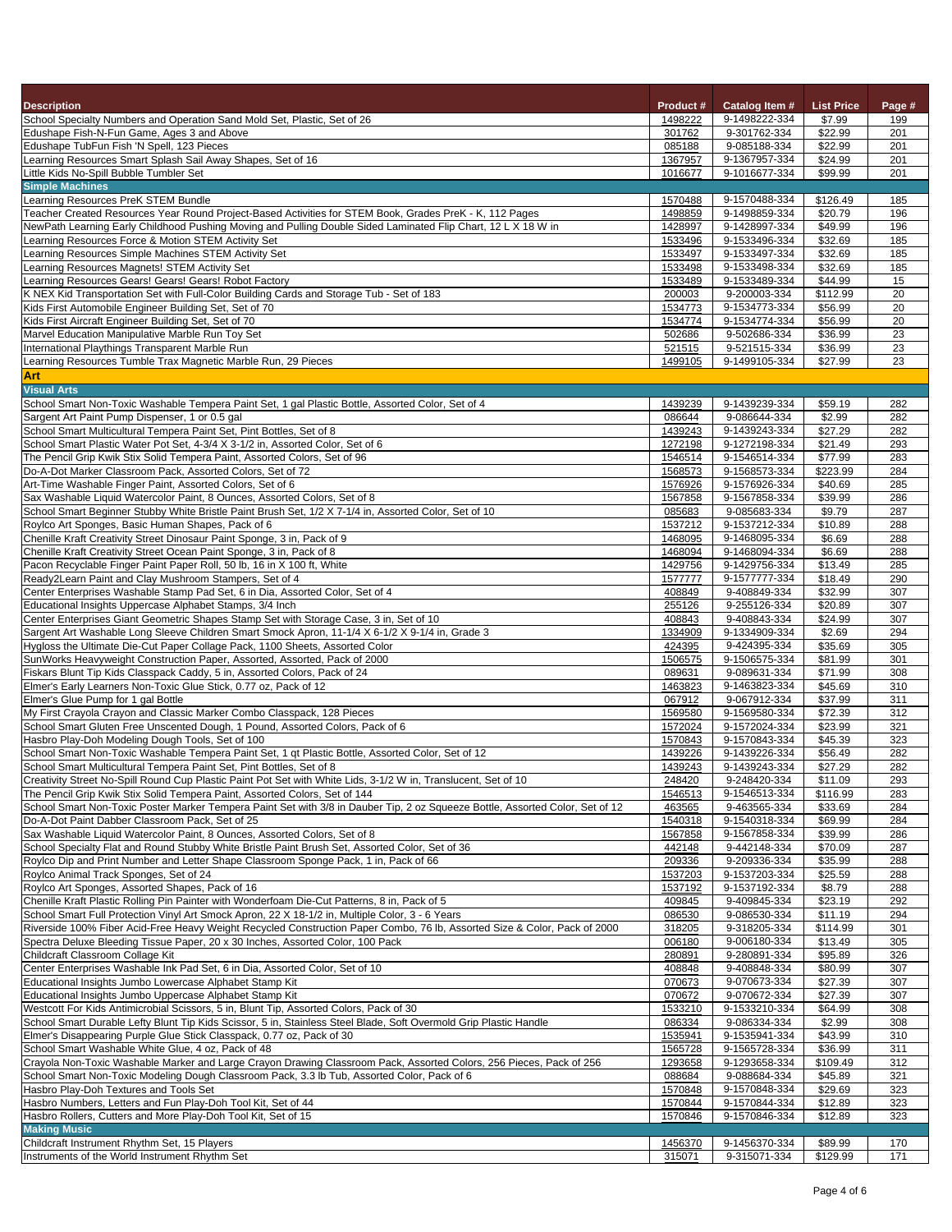| <b>Description</b>                                                                                                                                                   | <b>Product #</b>   | <b>Catalog Item #</b>          | <b>List Price</b>  | Page #     |
|----------------------------------------------------------------------------------------------------------------------------------------------------------------------|--------------------|--------------------------------|--------------------|------------|
| School Specialty Numbers and Operation Sand Mold Set, Plastic, Set of 26                                                                                             | 1498222            | 9-1498222-334                  | \$7.99             | 199        |
| Edushape Fish-N-Fun Game, Ages 3 and Above                                                                                                                           | 301762             | 9-301762-334                   | \$22.99            | 201        |
| Edushape TubFun Fish 'N Spell, 123 Pieces                                                                                                                            | 085188             | 9-085188-334                   | \$22.99            | 201        |
| Learning Resources Smart Splash Sail Away Shapes, Set of 16                                                                                                          | 1367957            | 9-1367957-334                  | \$24.99            | 201        |
| Little Kids No-Spill Bubble Tumbler Set                                                                                                                              | 1016677            | 9-1016677-334                  | \$99.99            | 201        |
| <b>Simple Machines</b>                                                                                                                                               |                    |                                |                    |            |
| Learning Resources PreK STEM Bundle                                                                                                                                  | 1570488            | 9-1570488-334                  | \$126.49           | 185        |
| Teacher Created Resources Year Round Project-Based Activities for STEM Book, Grades PreK - K, 112 Pages                                                              | 1498859            | 9-1498859-334<br>9-1428997-334 | \$20.79            | 196        |
| NewPath Learning Early Childhood Pushing Moving and Pulling Double Sided Laminated Flip Chart, 12 L X 18 W in<br>Learning Resources Force & Motion STEM Activity Set | 1428997<br>1533496 | 9-1533496-334                  | \$49.99<br>\$32.69 | 196<br>185 |
| Learning Resources Simple Machines STEM Activity Set                                                                                                                 | 1533497            | 9-1533497-334                  | \$32.69            | 185        |
| Learning Resources Magnets! STEM Activity Set                                                                                                                        | 1533498            | 9-1533498-334                  | \$32.69            | 185        |
| Learning Resources Gears! Gears! Gears! Robot Factory                                                                                                                | 1533489            | 9-1533489-334                  | \$44.99            | 15         |
| K NEX Kid Transportation Set with Full-Color Building Cards and Storage Tub - Set of 183                                                                             | 200003             | 9-200003-334                   | \$112.99           | 20         |
| Kids First Automobile Engineer Building Set, Set of 70                                                                                                               | 1534773            | 9-1534773-334                  | \$56.99            | 20         |
| Kids First Aircraft Engineer Building Set, Set of 70                                                                                                                 | 1534774            | 9-1534774-334                  | \$56.99            | 20         |
| Marvel Education Manipulative Marble Run Toy Set                                                                                                                     | 502686             | 9-502686-334                   | \$36.99            | 23         |
| International Playthings Transparent Marble Run                                                                                                                      | 521515             | 9-521515-334                   | \$36.99            | 23         |
| Learning Resources Tumble Trax Magnetic Marble Run, 29 Pieces                                                                                                        | 1499105            | 9-1499105-334                  | \$27.99            | 23         |
| <b>Art</b>                                                                                                                                                           |                    |                                |                    |            |
| <b>Visual Arts</b>                                                                                                                                                   |                    |                                |                    |            |
| School Smart Non-Toxic Washable Tempera Paint Set, 1 gal Plastic Bottle, Assorted Color, Set of 4                                                                    | 1439239            | 9-1439239-334                  | \$59.19            | 282        |
| Sargent Art Paint Pump Dispenser, 1 or 0.5 gal                                                                                                                       | 086644             | 9-086644-334                   | \$2.99             | 282        |
| School Smart Multicultural Tempera Paint Set, Pint Bottles, Set of 8                                                                                                 | 1439243            | 9-1439243-334                  | \$27.29            | 282        |
| School Smart Plastic Water Pot Set, 4-3/4 X 3-1/2 in, Assorted Color, Set of 6                                                                                       | 1272198            | 9-1272198-334                  | \$21.49            | 293        |
| The Pencil Grip Kwik Stix Solid Tempera Paint, Assorted Colors, Set of 96                                                                                            | 1546514            | 9-1546514-334                  | \$77.99            | 283        |
| Do-A-Dot Marker Classroom Pack, Assorted Colors, Set of 72                                                                                                           | 1568573            | 9-1568573-334                  | \$223.99           | 284        |
| Art-Time Washable Finger Paint, Assorted Colors, Set of 6<br>Sax Washable Liquid Watercolor Paint, 8 Ounces, Assorted Colors, Set of 8                               | 1576926<br>1567858 | 9-1576926-334<br>9-1567858-334 | \$40.69<br>\$39.99 | 285<br>286 |
| School Smart Beginner Stubby White Bristle Paint Brush Set, 1/2 X 7-1/4 in, Assorted Color, Set of 10                                                                | 085683             | 9-085683-334                   | \$9.79             | 287        |
| Roylco Art Sponges, Basic Human Shapes, Pack of 6                                                                                                                    | 1537212            | 9-1537212-334                  | \$10.89            | 288        |
| Chenille Kraft Creativity Street Dinosaur Paint Sponge, 3 in, Pack of 9                                                                                              | 1468095            | 9-1468095-334                  | \$6.69             | 288        |
| Chenille Kraft Creativity Street Ocean Paint Sponge, 3 in, Pack of 8                                                                                                 | 1468094            | 9-1468094-334                  | \$6.69             | 288        |
| Pacon Recyclable Finger Paint Paper Roll, 50 lb, 16 in X 100 ft, White                                                                                               | 1429756            | 9-1429756-334                  | \$13.49            | 285        |
| Ready2Learn Paint and Clay Mushroom Stampers, Set of 4                                                                                                               | 1577777            | 9-1577777-334                  | \$18.49            | 290        |
| Center Enterprises Washable Stamp Pad Set, 6 in Dia, Assorted Color, Set of 4                                                                                        | 408849             | 9-408849-334                   | \$32.99            | 307        |
| Educational Insights Uppercase Alphabet Stamps, 3/4 Inch                                                                                                             | 255126             | 9-255126-334                   | \$20.89            | 307        |
| Center Enterprises Giant Geometric Shapes Stamp Set with Storage Case, 3 in, Set of 10                                                                               | 408843             | 9-408843-334                   | \$24.99            | 307        |
| Sargent Art Washable Long Sleeve Children Smart Smock Apron, 11-1/4 X 6-1/2 X 9-1/4 in, Grade 3                                                                      | 1334909            | 9-1334909-334                  | \$2.69             | 294        |
| Hygloss the Ultimate Die-Cut Paper Collage Pack, 1100 Sheets, Assorted Color                                                                                         | 424395             | 9-424395-334                   | \$35.69            | 305        |
| SunWorks Heavyweight Construction Paper, Assorted, Assorted, Pack of 2000                                                                                            | 1506575            | 9-1506575-334                  | \$81.99            | 301        |
| Fiskars Blunt Tip Kids Classpack Caddy, 5 in, Assorted Colors, Pack of 24                                                                                            | 089631             | 9-089631-334                   | \$71.99            | 308        |
| Elmer's Early Learners Non-Toxic Glue Stick, 0.77 oz, Pack of 12                                                                                                     | 1463823            | 9-1463823-334                  | \$45.69            | 310        |
| Elmer's Glue Pump for 1 gal Bottle                                                                                                                                   | 067912             | 9-067912-334                   | \$37.99            | 311        |
| My First Crayola Crayon and Classic Marker Combo Classpack, 128 Pieces                                                                                               | 1569580            | 9-1569580-334<br>9-1572024-334 | \$72.39            | 312<br>321 |
| School Smart Gluten Free Unscented Dough, 1 Pound, Assorted Colors, Pack of 6<br>Hasbro Play-Doh Modeling Dough Tools, Set of 100                                    | 1572024<br>1570843 | 9-1570843-334                  | \$23.99<br>\$45.39 | 323        |
| School Smart Non-Toxic Washable Tempera Paint Set, 1 qt Plastic Bottle, Assorted Color, Set of 12                                                                    | 1439226            | 9-1439226-334                  | \$56.49            | 282        |
| School Smart Multicultural Tempera Paint Set, Pint Bottles, Set of 8                                                                                                 | 1439243            | 9-1439243-334                  | \$27.29            | 282        |
| Creativity Street No-Spill Round Cup Plastic Paint Pot Set with White Lids, 3-1/2 W in, Translucent, Set of 10                                                       | 248420             | 9-248420-334                   | \$11.09            | 293        |
| The Pencil Grip Kwik Stix Solid Tempera Paint, Assorted Colors, Set of 144                                                                                           | 1546513            | 9-1546513-334                  | \$116.99           | 283        |
| School Smart Non-Toxic Poster Marker Tempera Paint Set with 3/8 in Dauber Tip, 2 oz Squeeze Bottle, Assorted Color, Set of 12                                        | 463565             | 9-463565-334                   | \$33.69            | 284        |
| Do-A-Dot Paint Dabber Classroom Pack, Set of 25                                                                                                                      | 1540318            | 9-1540318-334                  | \$69.99            | 284        |
| Sax Washable Liquid Watercolor Paint, 8 Ounces, Assorted Colors, Set of 8                                                                                            | 1567858            | 9-1567858-334                  | \$39.99            | 286        |
| School Specialty Flat and Round Stubby White Bristle Paint Brush Set, Assorted Color, Set of 36                                                                      | 442148             | 9-442148-334                   | \$70.09            | 287        |
| Roylco Dip and Print Number and Letter Shape Classroom Sponge Pack, 1 in, Pack of 66                                                                                 | 209336             | 9-209336-334                   | \$35.99            | 288        |
| Roylco Animal Track Sponges, Set of 24                                                                                                                               | 1537203            | 9-1537203-334                  | \$25.59            | 288        |
| Roylco Art Sponges, Assorted Shapes, Pack of 16                                                                                                                      | 1537192            | 9-1537192-334                  | \$8.79             | 288        |
| Chenille Kraft Plastic Rolling Pin Painter with Wonderfoam Die-Cut Patterns, 8 in, Pack of 5                                                                         | 409845             | 9-409845-334                   | \$23.19            | 292        |
| School Smart Full Protection Vinyl Art Smock Apron, 22 X 18-1/2 in, Multiple Color, 3 - 6 Years                                                                      | 086530             | 9-086530-334                   | \$11.19            | 294        |
| Riverside 100% Fiber Acid-Free Heavy Weight Recycled Construction Paper Combo, 76 lb, Assorted Size & Color, Pack of 2000                                            | 318205             | 9-318205-334                   | \$114.99           | 301        |
| Spectra Deluxe Bleeding Tissue Paper, 20 x 30 Inches, Assorted Color, 100 Pack<br>Childcraft Classroom Collage Kit                                                   | 006180<br>280891   | 9-006180-334<br>9-280891-334   | \$13.49<br>\$95.89 | 305<br>326 |
| Center Enterprises Washable Ink Pad Set, 6 in Dia, Assorted Color, Set of 10                                                                                         | 408848             | 9-408848-334                   | \$80.99            | 307        |
| Educational Insights Jumbo Lowercase Alphabet Stamp Kit                                                                                                              | 070673             | 9-070673-334                   | \$27.39            | 307        |
| Educational Insights Jumbo Uppercase Alphabet Stamp Kit                                                                                                              | 070672             | 9-070672-334                   | \$27.39            | 307        |
| Westcott For Kids Antimicrobial Scissors, 5 in, Blunt Tip, Assorted Colors, Pack of 30                                                                               | 1533210            | 9-1533210-334                  | \$64.99            | 308        |
| School Smart Durable Lefty Blunt Tip Kids Scissor, 5 in, Stainless Steel Blade, Soft Overmold Grip Plastic Handle                                                    | 086334             | 9-086334-334                   | \$2.99             | 308        |
| Elmer's Disappearing Purple Glue Stick Classpack, 0.77 oz, Pack of 30                                                                                                | 1535941            | 9-1535941-334                  | \$43.99            | 310        |
| School Smart Washable White Glue, 4 oz, Pack of 48                                                                                                                   | 1565728            | 9-1565728-334                  | \$36.99            | 311        |
| Crayola Non-Toxic Washable Marker and Large Crayon Drawing Classroom Pack, Assorted Colors, 256 Pieces, Pack of 256                                                  | 1293658            | 9-1293658-334                  | \$109.49           | 312        |
| School Smart Non-Toxic Modeling Dough Classroom Pack, 3.3 lb Tub, Assorted Color, Pack of 6                                                                          | 088684             | 9-088684-334                   | \$45.89            | 321        |
| Hasbro Play-Doh Textures and Tools Set                                                                                                                               | 1570848            | 9-1570848-334                  | \$29.69            | 323        |
| Hasbro Numbers, Letters and Fun Play-Doh Tool Kit, Set of 44                                                                                                         | 1570844            | 9-1570844-334                  | \$12.89            | 323        |
| Hasbro Rollers, Cutters and More Play-Doh Tool Kit, Set of 15                                                                                                        | 1570846            | 9-1570846-334                  | \$12.89            | 323        |
| <b>Making Music</b>                                                                                                                                                  |                    |                                |                    |            |
| Childcraft Instrument Rhythm Set, 15 Players                                                                                                                         | 1456370            | 9-1456370-334                  | \$89.99            | 170        |
| Instruments of the World Instrument Rhythm Set                                                                                                                       | 315071             | 9-315071-334                   | \$129.99           | 171        |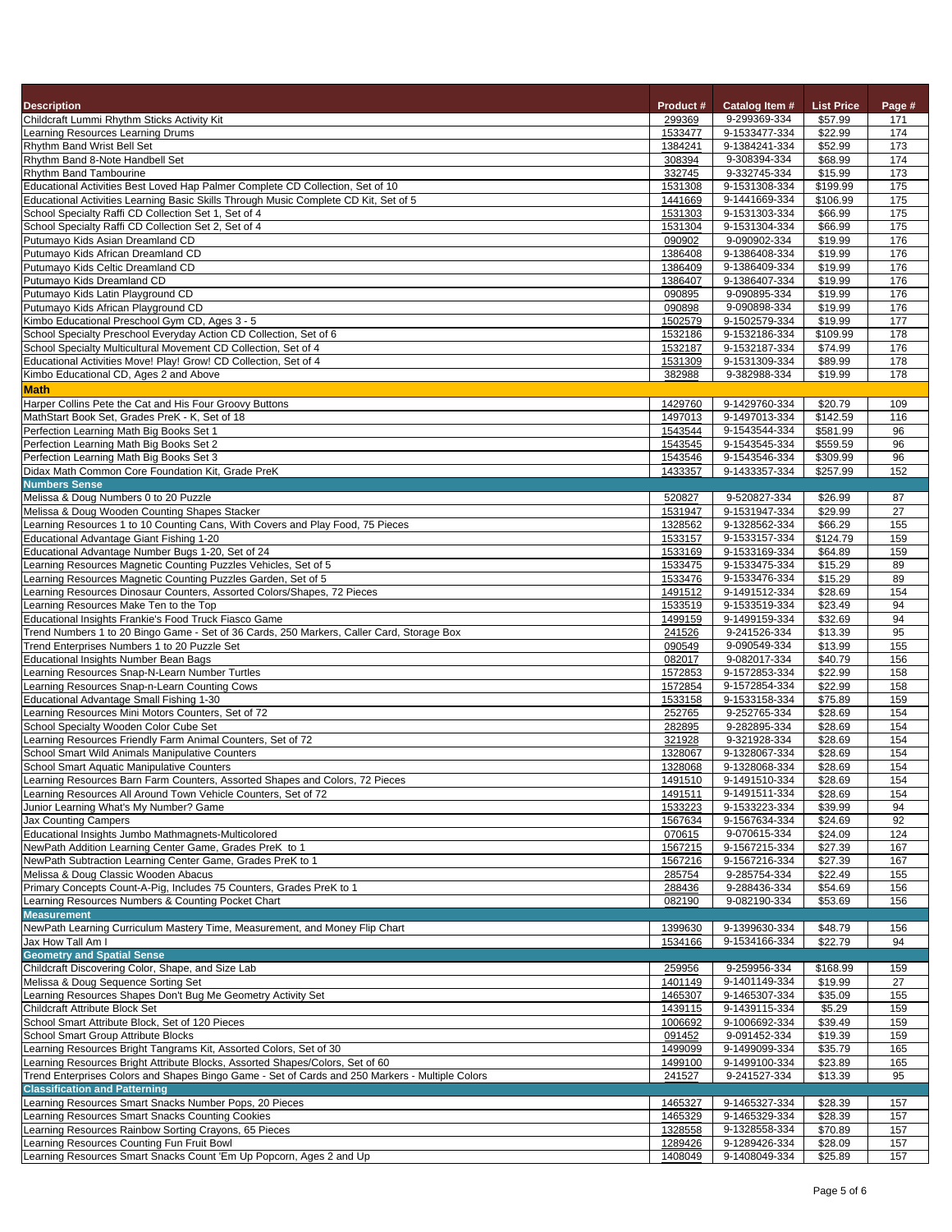| <b>Description</b>                                                                                                                                  | <b>Product#</b>    | <b>Catalog Item #</b>          | <b>List Price</b>   | Page #                |
|-----------------------------------------------------------------------------------------------------------------------------------------------------|--------------------|--------------------------------|---------------------|-----------------------|
| Childcraft Lummi Rhythm Sticks Activity Kit                                                                                                         | 299369             | 9-299369-334                   | \$57.99             | 171                   |
| Learning Resources Learning Drums<br><b>Rhythm Band Wrist Bell Set</b>                                                                              | 1533477<br>1384241 | 9-1533477-334<br>9-1384241-334 | \$22.99<br>\$52.99  | 174<br>173            |
| Rhythm Band 8-Note Handbell Set                                                                                                                     | 308394             | 9-308394-334                   | \$68.99             | 174                   |
| <b>Rhythm Band Tambourine</b>                                                                                                                       | 332745             | 9-332745-334                   | \$15.99             | 173                   |
| Educational Activities Best Loved Hap Palmer Complete CD Collection, Set of 10                                                                      | 1531308            | 9-1531308-334                  | \$199.99            | 175                   |
| Educational Activities Learning Basic Skills Through Music Complete CD Kit, Set of 5                                                                | 1441669            | 9-1441669-334                  | \$106.99            | 175                   |
| School Specialty Raffi CD Collection Set 1, Set of 4<br>School Specialty Raffi CD Collection Set 2, Set of 4                                        | 1531303<br>1531304 | 9-1531303-334<br>9-1531304-334 | \$66.99<br>\$66.99  | 175<br>175            |
| Putumayo Kids Asian Dreamland CD                                                                                                                    | 090902             | 9-090902-334                   | \$19.99             | 176                   |
| Putumayo Kids African Dreamland CD                                                                                                                  | 1386408            | 9-1386408-334                  | \$19.99             | 176                   |
| Putumayo Kids Celtic Dreamland CD                                                                                                                   | 1386409            | 9-1386409-334                  | \$19.99             | 176                   |
| Putumayo Kids Dreamland CD                                                                                                                          | 1386407            | 9-1386407-334                  | \$19.99             | 176                   |
| Putumayo Kids Latin Playground CD<br>Putumayo Kids African Playground CD                                                                            | 090895<br>090898   | 9-090895-334<br>9-090898-334   | \$19.99<br>\$19.99  | 176<br>176            |
| Kimbo Educational Preschool Gym CD, Ages 3 - 5                                                                                                      | 1502579            | 9-1502579-334                  | \$19.99             | 177                   |
| School Specialty Preschool Everyday Action CD Collection, Set of 6                                                                                  | 1532186            | 9-1532186-334                  | \$109.99            | 178                   |
| School Specialty Multicultural Movement CD Collection, Set of 4                                                                                     | 1532187            | 9-1532187-334                  | \$74.99             | 176                   |
| Educational Activities Move! Play! Grow! CD Collection, Set of 4                                                                                    | 1531309            | 9-1531309-334                  | \$89.99             | 178                   |
| Kimbo Educational CD, Ages 2 and Above                                                                                                              | 382988             | 9-382988-334                   | \$19.99             | 178                   |
| <b>Math</b>                                                                                                                                         |                    |                                |                     |                       |
| Harper Collins Pete the Cat and His Four Groovy Buttons<br>MathStart Book Set, Grades PreK - K, Set of 18                                           | 1429760<br>1497013 | 9-1429760-334<br>9-1497013-334 | \$20.79<br>\$142.59 | 109<br>116            |
| Perfection Learning Math Big Books Set 1                                                                                                            | 1543544            | 9-1543544-334                  | \$581.99            | 96                    |
| Perfection Learning Math Big Books Set 2                                                                                                            | 1543545            | 9-1543545-334                  | \$559.59            | 96                    |
| Perfection Learning Math Big Books Set 3                                                                                                            | 1543546            | 9-1543546-334                  | \$309.99            | 96                    |
| Didax Math Common Core Foundation Kit, Grade PreK                                                                                                   | 1433357            | 9-1433357-334                  | \$257.99            | 152                   |
| <b>Numbers Sense</b>                                                                                                                                |                    |                                |                     |                       |
| Melissa & Doug Numbers 0 to 20 Puzzle<br>Melissa & Doug Wooden Counting Shapes Stacker                                                              | 520827<br>1531947  | 9-520827-334<br>9-1531947-334  | \$26.99<br>\$29.99  | 87<br>$\overline{27}$ |
| Learning Resources 1 to 10 Counting Cans, With Covers and Play Food, 75 Pieces                                                                      | 1328562            | 9-1328562-334                  | \$66.29             | 155                   |
| Educational Advantage Giant Fishing 1-20                                                                                                            | 1533157            | 9-1533157-334                  | \$124.79            | 159                   |
| Educational Advantage Number Bugs 1-20, Set of 24                                                                                                   | 1533169            | 9-1533169-334                  | \$64.89             | 159                   |
| Learning Resources Magnetic Counting Puzzles Vehicles, Set of 5                                                                                     | 1533475            | 9-1533475-334                  | \$15.29             | 89                    |
| Learning Resources Magnetic Counting Puzzles Garden, Set of 5                                                                                       | 1533476            | 9-1533476-334                  | \$15.29             | 89                    |
| Learning Resources Dinosaur Counters, Assorted Colors/Shapes, 72 Pieces<br>Learning Resources Make Ten to the Top                                   | 1491512<br>1533519 | 9-1491512-334<br>9-1533519-334 | \$28.69<br>\$23.49  | 154<br>94             |
| Educational Insights Frankie's Food Truck Fiasco Game                                                                                               | 1499159            | 9-1499159-334                  | \$32.69             | 94                    |
| Trend Numbers 1 to 20 Bingo Game - Set of 36 Cards, 250 Markers, Caller Card, Storage Box                                                           | 241526             | 9-241526-334                   | \$13.39             | 95                    |
| Trend Enterprises Numbers 1 to 20 Puzzle Set                                                                                                        | 090549             | 9-090549-334                   | \$13.99             | 155                   |
| Educational Insights Number Bean Bags                                                                                                               | 082017             | 9-082017-334                   | \$40.79             | 156                   |
| Learning Resources Snap-N-Learn Number Turtles                                                                                                      | 1572853            | 9-1572853-334<br>9-1572854-334 | \$22.99             | 158<br>158            |
| Learning Resources Snap-n-Learn Counting Cows<br>Educational Advantage Small Fishing 1-30                                                           | 1572854<br>1533158 | 9-1533158-334                  | \$22.99<br>\$75.89  | 159                   |
| Learning Resources Mini Motors Counters, Set of 72                                                                                                  | 252765             | 9-252765-334                   | \$28.69             | 154                   |
| School Specialty Wooden Color Cube Set                                                                                                              | 282895             | 9-282895-334                   | \$28.69             | 154                   |
| Learning Resources Friendly Farm Animal Counters, Set of 72                                                                                         | 321928             | 9-321928-334                   | \$28.69             | 154                   |
| School Smart Wild Animals Manipulative Counters                                                                                                     | 1328067            | 9-1328067-334                  | \$28.69             | 154                   |
| School Smart Aquatic Manipulative Counters                                                                                                          | 1328068<br>1491510 | 9-1328068-334<br>9-1491510-334 | \$28.69<br>\$28.69  | 154<br>154            |
| Learning Resources Barn Farm Counters, Assorted Shapes and Colors, 72 Pieces<br>Learning Resources All Around Town Vehicle Counters, Set of 72      | 1491511            | 9-1491511-334                  | \$28.69             | 154                   |
| Junior Learning What's My Number? Game                                                                                                              | 1533223            | 9-1533223-334                  | \$39.99             | 94                    |
| <b>Jax Counting Campers</b>                                                                                                                         | 1567634            | 9-1567634-334                  | \$24.69             | 92                    |
| Educational Insights Jumbo Mathmagnets-Multicolored                                                                                                 | 070615             | 9-070615-334                   | \$24.09             | 124                   |
| NewPath Addition Learning Center Game, Grades PreK to 1                                                                                             | 1567215            | 9-1567215-334                  | \$27.39             | 167                   |
| NewPath Subtraction Learning Center Game, Grades PreK to 1<br>Melissa & Doug Classic Wooden Abacus                                                  | 1567216<br>285754  | 9-1567216-334<br>9-285754-334  | \$27.39<br>\$22.49  | 167<br>155            |
| Primary Concepts Count-A-Pig, Includes 75 Counters, Grades PreK to 1                                                                                | 288436             | 9-288436-334                   | \$54.69             | 156                   |
| Learning Resources Numbers & Counting Pocket Chart                                                                                                  | 082190             | 9-082190-334                   | \$53.69             | 156                   |
| <b>Measurement</b>                                                                                                                                  |                    |                                |                     |                       |
| NewPath Learning Curriculum Mastery Time, Measurement, and Money Flip Chart                                                                         | 1399630            | 9-1399630-334                  | \$48.79             | 156                   |
| Jax How Tall Am I                                                                                                                                   | 1534166            | 9-1534166-334                  | \$22.79             | 94                    |
| <b>Geometry and Spatial Sense</b><br>Childcraft Discovering Color, Shape, and Size Lab                                                              | 259956             | 9-259956-334                   | \$168.99            | 159                   |
| Melissa & Doug Sequence Sorting Set                                                                                                                 | 1401149            | 9-1401149-334                  | \$19.99             | 27                    |
| Learning Resources Shapes Don't Bug Me Geometry Activity Set                                                                                        | 1465307            | 9-1465307-334                  | \$35.09             | 155                   |
| Childcraft Attribute Block Set                                                                                                                      | 1439115            | 9-1439115-334                  | \$5.29              | 159                   |
| School Smart Attribute Block, Set of 120 Pieces                                                                                                     | 1006692            | 9-1006692-334                  | \$39.49             | 159                   |
| <b>School Smart Group Attribute Blocks</b>                                                                                                          | 091452             | 9-091452-334                   | \$19.39             | 159                   |
| Learning Resources Bright Tangrams Kit, Assorted Colors, Set of 30<br>Learning Resources Bright Attribute Blocks, Assorted Shapes/Colors, Set of 60 | 1499099<br>1499100 | 9-1499099-334<br>9-1499100-334 | \$35.79<br>\$23.89  | 165<br>165            |
| Trend Enterprises Colors and Shapes Bingo Game - Set of Cards and 250 Markers - Multiple Colors                                                     | 241527             | 9-241527-334                   | \$13.39             | 95                    |
| <b>Classification and Patterning</b>                                                                                                                |                    |                                |                     |                       |
| Learning Resources Smart Snacks Number Pops, 20 Pieces                                                                                              | 1465327            | 9-1465327-334                  | \$28.39             | 157                   |
| Learning Resources Smart Snacks Counting Cookies                                                                                                    | 1465329            | 9-1465329-334                  | \$28.39             | 157                   |
| Learning Resources Rainbow Sorting Crayons, 65 Pieces                                                                                               | 1328558            | 9-1328558-334                  | \$70.89             | 157                   |
| Learning Resources Counting Fun Fruit Bowl<br>Learning Resources Smart Snacks Count 'Em Up Popcorn, Ages 2 and Up                                   | 1289426<br>1408049 | 9-1289426-334<br>9-1408049-334 | \$28.09<br>\$25.89  | 157<br>157            |
|                                                                                                                                                     |                    |                                |                     |                       |